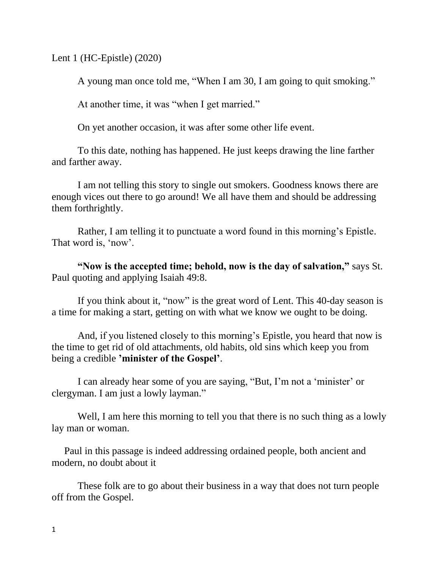Lent 1 (HC-Epistle) (2020)

A young man once told me, "When I am 30, I am going to quit smoking."

At another time, it was "when I get married."

On yet another occasion, it was after some other life event.

To this date, nothing has happened. He just keeps drawing the line farther and farther away.

I am not telling this story to single out smokers. Goodness knows there are enough vices out there to go around! We all have them and should be addressing them forthrightly.

Rather, I am telling it to punctuate a word found in this morning's Epistle. That word is, 'now'.

**"Now is the accepted time; behold, now is the day of salvation,"** says St. Paul quoting and applying Isaiah 49:8.

If you think about it, "now" is the great word of Lent. This 40-day season is a time for making a start, getting on with what we know we ought to be doing.

And, if you listened closely to this morning's Epistle, you heard that now is the time to get rid of old attachments, old habits, old sins which keep you from being a credible **'minister of the Gospel'**.

I can already hear some of you are saying, "But, I'm not a 'minister' or clergyman. I am just a lowly layman."

Well, I am here this morning to tell you that there is no such thing as a lowly lay man or woman.

 Paul in this passage is indeed addressing ordained people, both ancient and modern, no doubt about it

These folk are to go about their business in a way that does not turn people off from the Gospel.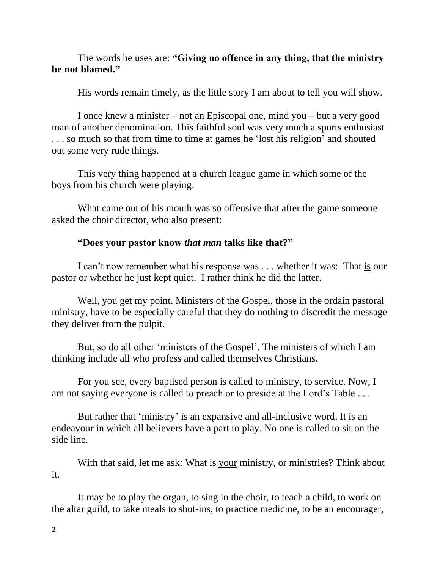## The words he uses are: **"Giving no offence in any thing, that the ministry be not blamed."**

His words remain timely, as the little story I am about to tell you will show.

I once knew a minister – not an Episcopal one, mind you – but a very good man of another denomination. This faithful soul was very much a sports enthusiast . . . so much so that from time to time at games he 'lost his religion' and shouted out some very rude things.

This very thing happened at a church league game in which some of the boys from his church were playing.

What came out of his mouth was so offensive that after the game someone asked the choir director, who also present:

## **"Does your pastor know** *that man* **talks like that?"**

I can't now remember what his response was . . . whether it was: That is our pastor or whether he just kept quiet. I rather think he did the latter.

Well, you get my point. Ministers of the Gospel, those in the ordain pastoral ministry, have to be especially careful that they do nothing to discredit the message they deliver from the pulpit.

But, so do all other 'ministers of the Gospel'. The ministers of which I am thinking include all who profess and called themselves Christians.

For you see, every baptised person is called to ministry, to service. Now, I am not saying everyone is called to preach or to preside at the Lord's Table . . .

But rather that 'ministry' is an expansive and all-inclusive word. It is an endeavour in which all believers have a part to play. No one is called to sit on the side line.

With that said, let me ask: What is your ministry, or ministries? Think about it.

It may be to play the organ, to sing in the choir, to teach a child, to work on the altar guild, to take meals to shut-ins, to practice medicine, to be an encourager,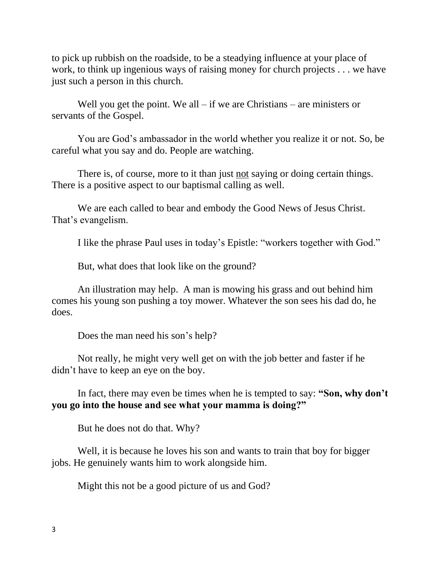to pick up rubbish on the roadside, to be a steadying influence at your place of work, to think up ingenious ways of raising money for church projects . . . we have just such a person in this church.

Well you get the point. We all – if we are Christians – are ministers or servants of the Gospel.

You are God's ambassador in the world whether you realize it or not. So, be careful what you say and do. People are watching.

There is, of course, more to it than just not saying or doing certain things. There is a positive aspect to our baptismal calling as well.

We are each called to bear and embody the Good News of Jesus Christ. That's evangelism.

I like the phrase Paul uses in today's Epistle: "workers together with God."

But, what does that look like on the ground?

An illustration may help. A man is mowing his grass and out behind him comes his young son pushing a toy mower. Whatever the son sees his dad do, he does.

Does the man need his son's help?

Not really, he might very well get on with the job better and faster if he didn't have to keep an eye on the boy.

In fact, there may even be times when he is tempted to say: **"Son, why don't you go into the house and see what your mamma is doing?"**

But he does not do that. Why?

Well, it is because he loves his son and wants to train that boy for bigger jobs. He genuinely wants him to work alongside him.

Might this not be a good picture of us and God?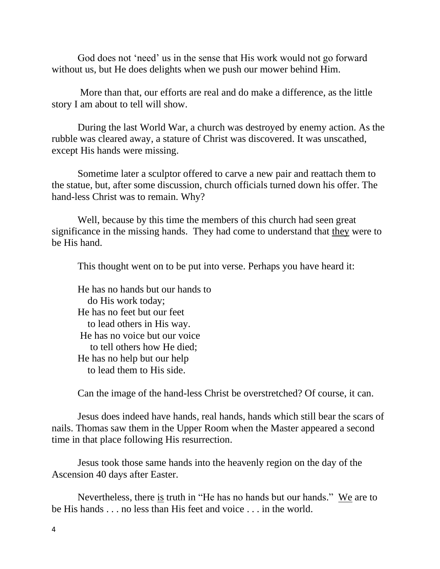God does not 'need' us in the sense that His work would not go forward without us, but He does delights when we push our mower behind Him.

More than that, our efforts are real and do make a difference, as the little story I am about to tell will show.

During the last World War, a church was destroyed by enemy action. As the rubble was cleared away, a stature of Christ was discovered. It was unscathed, except His hands were missing.

Sometime later a sculptor offered to carve a new pair and reattach them to the statue, but, after some discussion, church officials turned down his offer. The hand-less Christ was to remain. Why?

Well, because by this time the members of this church had seen great significance in the missing hands. They had come to understand that they were to be His hand.

This thought went on to be put into verse. Perhaps you have heard it:

He has no hands but our hands to do His work today; He has no feet but our feet to lead others in His way. He has no voice but our voice to tell others how He died; He has no help but our help to lead them to His side.

Can the image of the hand-less Christ be overstretched? Of course, it can.

Jesus does indeed have hands, real hands, hands which still bear the scars of nails. Thomas saw them in the Upper Room when the Master appeared a second time in that place following His resurrection.

Jesus took those same hands into the heavenly region on the day of the Ascension 40 days after Easter.

Nevertheless, there is truth in "He has no hands but our hands." We are to be His hands . . . no less than His feet and voice . . . in the world.